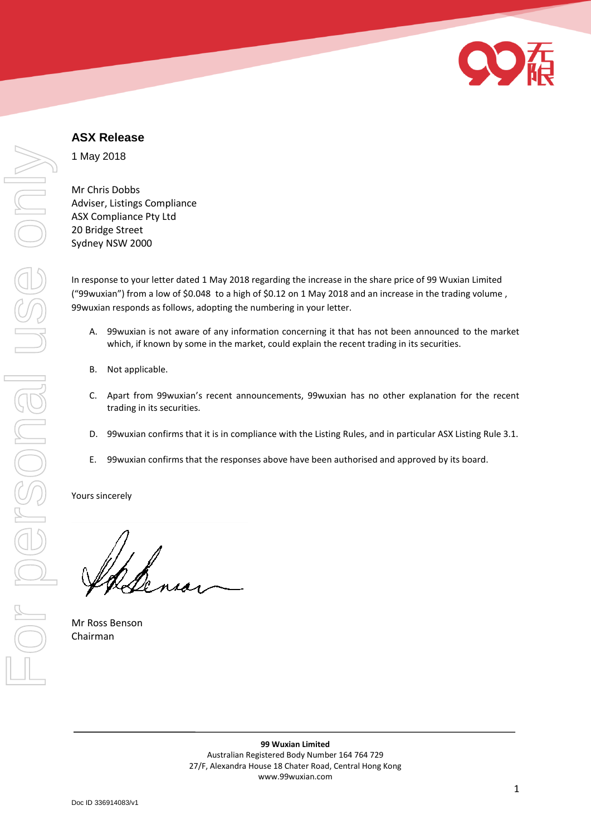

# **ASX Release**

1 May 2018

Mr Chris Dobbs Adviser, Listings Compliance ASX Compliance Pty Ltd 20 Bridge Street Sydney NSW 2000

In response to your letter dated 1 May 2018 regarding the increase in the share price of 99 Wuxian Limited ("99wuxian") from a low of \$0.048 to a high of \$0.12 on 1 May 2018 and an increase in the trading volume , 99wuxian responds as follows, adopting the numbering in your letter.

- A. 99wuxian is not aware of any information concerning it that has not been announced to the market which, if known by some in the market, could explain the recent trading in its securities.
- B. Not applicable.
- C. Apart from 99wuxian's recent announcements, 99wuxian has no other explanation for the recent trading in its securities.
- D. 99wuxian confirms that it is in compliance with the Listing Rules, and in particular ASX Listing Rule 3.1.
- E. 99wuxian confirms that the responses above have been authorised and approved by its board.

Yours sincerely

Mr Ross Benson Chairman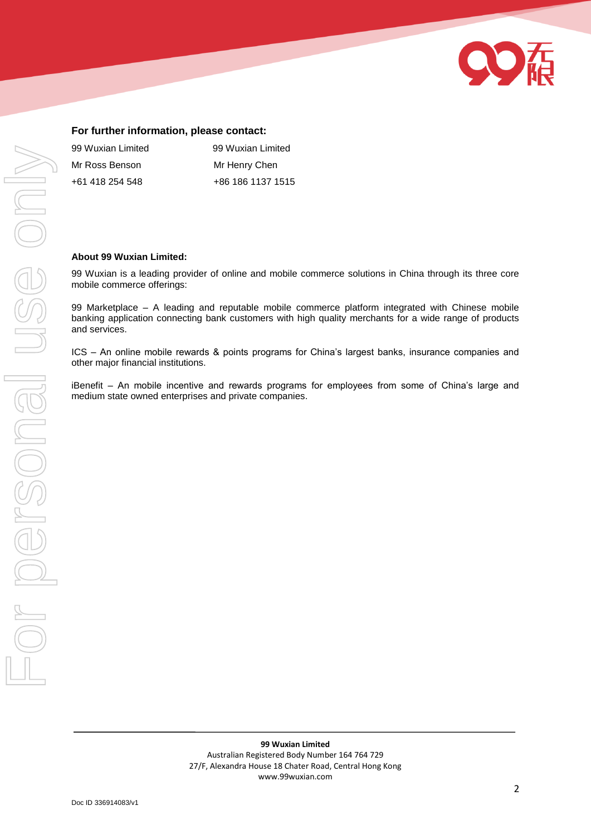

### **For further information, please contact:**

| 99 Wuxian Limited | 99 Wuxian Limited |
|-------------------|-------------------|
| Mr Ross Benson    | Mr Henry Chen     |
| +61 418 254 548   | +86 186 1137 1515 |

#### **About 99 Wuxian Limited:**

99 Wuxian is a leading provider of online and mobile commerce solutions in China through its three core mobile commerce offerings:

99 Marketplace – A leading and reputable mobile commerce platform integrated with Chinese mobile banking application connecting bank customers with high quality merchants for a wide range of products and services.

ICS – An online mobile rewards & points programs for China's largest banks, insurance companies and other major financial institutions.

iBenefit – An mobile incentive and rewards programs for employees from some of China's large and medium state owned enterprises and private companies.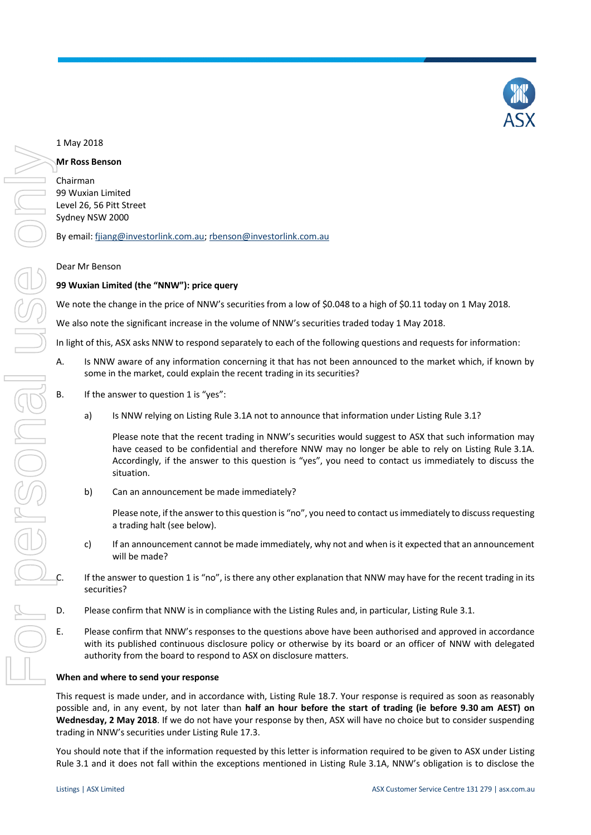

#### 1 May 2018

#### **Mr Ross Benson**

Chairman 99 Wuxian Limited Level 26, 56 Pitt Street Sydney NSW 2000

By email[: fjiang@investorlink.com.au;](mailto:fjiang@investorlink.com.au) [rbenson@investorlink.com.au](mailto:rbenson@investorlink.com.au)

#### Dear Mr Benson

#### **99 Wuxian Limited (the "NNW"): price query**

We note the change in the price of NNW's securities from a low of \$0.048 to a high of \$0.11 today on 1 May 2018.

We also note the significant increase in the volume of NNW's securities traded today 1 May 2018.

In light of this, ASX asks NNW to respond separately to each of the following questions and requests for information:

- A. Is NNW aware of any information concerning it that has not been announced to the market which, if known by some in the market, could explain the recent trading in its securities?
- B. If the answer to question 1 is "yes":
	- a) Is NNW relying on Listing Rule 3.1A not to announce that information under Listing Rule 3.1?

Please note that the recent trading in NNW's securities would suggest to ASX that such information may have ceased to be confidential and therefore NNW may no longer be able to rely on Listing Rule 3.1A. Accordingly, if the answer to this question is "yes", you need to contact us immediately to discuss the situation.

b) Can an announcement be made immediately?

Please note, if the answer to this question is "no", you need to contact us immediately to discuss requesting a trading halt (see below).

c) If an announcement cannot be made immediately, why not and when is it expected that an announcement will be made?

If the answer to question 1 is "no", is there any other explanation that NNW may have for the recent trading in its securities?

- D. Please confirm that NNW is in compliance with the Listing Rules and, in particular, Listing Rule 3.1.
- E. Please confirm that NNW's responses to the questions above have been authorised and approved in accordance with its published continuous disclosure policy or otherwise by its board or an officer of NNW with delegated authority from the board to respond to ASX on disclosure matters.

#### **When and where to send your response**

This request is made under, and in accordance with, Listing Rule 18.7. Your response is required as soon as reasonably possible and, in any event, by not later than **half an hour before the start of trading (ie before 9.30 am AEST) on Wednesday, 2 May 2018**. If we do not have your response by then, ASX will have no choice but to consider suspending trading in NNW's securities under Listing Rule 17.3.

You should note that if the information requested by this letter is information required to be given to ASX under Listing